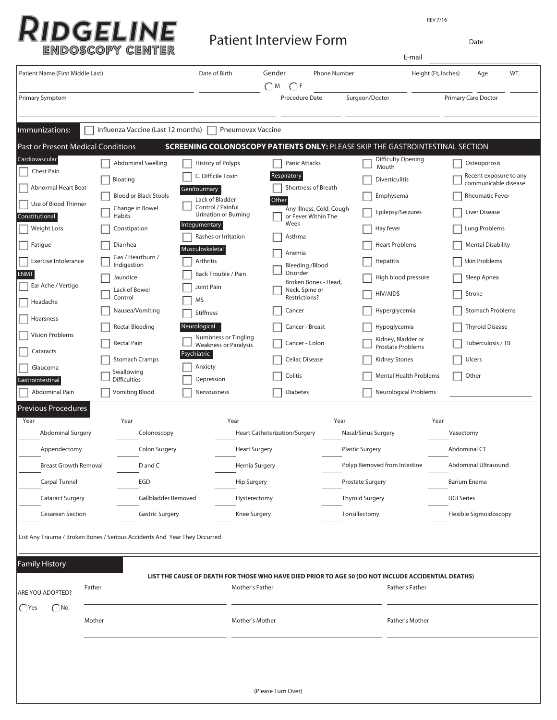REV 7/16

| <b>RIDGELINE</b> | Patio |
|------------------|-------|
| ENDOSCOPY CENTER |       |

ent Interview Form **Patient Interview Form** 

| Patient Name (First Middle Last)                  |                                                                           |                  | Date of Birth                                        | Gender      | <b>Phone Number</b>                             |                              |                                                                                                     | Height (Ft, Inches)    | Age                                            | WT. |
|---------------------------------------------------|---------------------------------------------------------------------------|------------------|------------------------------------------------------|-------------|-------------------------------------------------|------------------------------|-----------------------------------------------------------------------------------------------------|------------------------|------------------------------------------------|-----|
| <b>Primary Symptom</b>                            |                                                                           |                  |                                                      | $\bigcap M$ | $\bigcap F$<br>Procedure Date                   |                              | Surgeon/Doctor                                                                                      |                        | Primary Care Doctor                            |     |
|                                                   |                                                                           |                  |                                                      |             |                                                 |                              |                                                                                                     |                        |                                                |     |
| Immunizations:                                    | Influenza Vaccine (Last 12 months)                                        |                  | Pneumovax Vaccine                                    |             |                                                 |                              |                                                                                                     |                        |                                                |     |
| <b>Past or Present Medical Conditions</b>         |                                                                           |                  |                                                      |             |                                                 |                              | SCREENING COLONOSCOPY PATIENTS ONLY: PLEASE SKIP THE GASTROINTESTINAL SECTION                       |                        |                                                |     |
| Cardiovascular<br>Chest Pain                      | <b>Abdominal Swelling</b>                                                 |                  | History of Polyps                                    |             | Panic Attacks                                   |                              | Difficulty Opening<br>Mouth                                                                         |                        | Osteoporosis                                   |     |
| Abnormal Heart Beat                               | Bloating                                                                  |                  | C. Difficile Toxin                                   |             | Respiratory<br>Shortness of Breath              |                              | <b>Diverticulitis</b>                                                                               |                        | Recent exposure to any<br>communicable disease |     |
|                                                   | <b>Blood or Black Stools</b>                                              | Genitourinary    | Lack of Bladder                                      | Other       |                                                 |                              | Emphysema                                                                                           |                        | <b>Rheumatic Fever</b>                         |     |
| Use of Blood Thinner<br>Constitutional            | Change in Bowel<br>Habits                                                 |                  | Control / Painful<br><b>Urination or Burning</b>     |             | Any Illness, Cold, Cough<br>or Fever Within The |                              | Epilepsy/Seizures                                                                                   |                        | Liver Disease                                  |     |
| <b>Weight Loss</b>                                | Constipation                                                              | Integumentary    |                                                      |             | Week                                            |                              | Hay fever                                                                                           |                        | Lung Problems                                  |     |
| Fatigue                                           | Diarrhea                                                                  |                  | Rashes or Irritation                                 |             | Asthma                                          |                              | <b>Heart Problems</b>                                                                               |                        | <b>Mental Disability</b>                       |     |
|                                                   | Gas / Heartburn /                                                         | Musculoskeletal  |                                                      |             | Anemia                                          |                              |                                                                                                     |                        |                                                |     |
| Exercise Intolerance<br><b>ENMT</b>               | Indigestion                                                               | Arthritis        | Back Trouble / Pain                                  |             | <b>Bleeding /Blood</b><br>Disorder              |                              | <b>Hepatitis</b>                                                                                    |                        | Skin Problems                                  |     |
| Ear Ache / Vertigo                                | Jaundice                                                                  | Joint Pain       |                                                      |             | Broken Bones - Head,                            |                              | High blood pressure                                                                                 |                        | Sleep Apnea                                    |     |
| Headache                                          | Lack of Bowel<br>Control                                                  | <b>MS</b>        |                                                      |             | Neck, Spine or<br>Restrictions?                 |                              | HIV/AIDS                                                                                            |                        | Stroke                                         |     |
|                                                   | Nausea/Vomiting                                                           | <b>Stiffness</b> |                                                      |             | Cancer                                          |                              | Hyperglycemia                                                                                       |                        | <b>Stomach Problems</b>                        |     |
| Hoarsness                                         | <b>Rectal Bleeding</b>                                                    | Neurological     |                                                      |             | Cancer - Breast                                 |                              | Hypoglycemia                                                                                        |                        | <b>Thyroid Disease</b>                         |     |
| Vision Problems                                   | Rectal Pain                                                               |                  | Numbness or Tingling<br><b>Weakness or Paralysis</b> |             | Cancer - Colon                                  |                              | Kidney, Bladder or                                                                                  |                        | Tuberculosis / TB                              |     |
| Cataracts                                         | <b>Stomach Cramps</b>                                                     | Psychiatric      |                                                      |             | Celiac Disease                                  |                              | <b>Prostate Problems</b><br><b>Kidney Stones</b>                                                    |                        | Ulcers                                         |     |
| Glaucoma                                          | Swallowing                                                                | Anxiety          |                                                      |             |                                                 |                              |                                                                                                     |                        |                                                |     |
| Gastrointestinal                                  | <b>Difficulties</b>                                                       | Depression       |                                                      |             | Colitis                                         |                              | <b>Mental Health Problems</b>                                                                       |                        | Other                                          |     |
| Abdominal Pain                                    | <b>Vomiting Blood</b>                                                     | Nervousness      |                                                      |             | <b>Diabetes</b>                                 |                              | Neurological Problems                                                                               |                        |                                                |     |
| <b>Previous Procedures</b>                        |                                                                           |                  |                                                      |             |                                                 |                              |                                                                                                     |                        |                                                |     |
| Year<br>Year<br>Abdominal Surgery<br>Colonoscopy  |                                                                           |                  | Year                                                 |             | Year                                            |                              |                                                                                                     | Year<br>Vasectomy      |                                                |     |
|                                                   |                                                                           |                  | <b>Heart Catheterization/Surgery</b>                 |             |                                                 | Nasal/Sinus Surgery          |                                                                                                     |                        |                                                |     |
| Appendectomy                                      | Colon Surgery                                                             |                  | <b>Heart Surgery</b>                                 |             |                                                 | <b>Plastic Surgery</b>       |                                                                                                     | Abdominal CT           |                                                |     |
| <b>Breast Growth Removal</b>                      | D and C                                                                   |                  | Hernia Surgery                                       |             |                                                 | Polyp Removed from Intestine |                                                                                                     | Abdominal Ultrasound   |                                                |     |
| Carpal Tunnel                                     | EGD                                                                       |                  | <b>Hip Surgery</b>                                   |             |                                                 | Prostate Surgery             |                                                                                                     | <b>Barium Enema</b>    |                                                |     |
| <b>Cataract Surgery</b>                           | Gallbladder Removed                                                       |                  | Hysterectomy                                         |             |                                                 | <b>Thyroid Surgery</b>       |                                                                                                     | <b>UGI Series</b>      |                                                |     |
| <b>Gastric Surgery</b><br><b>Cesarean Section</b> |                                                                           |                  | Knee Surgery                                         |             |                                                 | Tonsillectomy                |                                                                                                     | Flexible Sigmoidoscopy |                                                |     |
|                                                   | List Any Trauma / Broken Bones / Serious Accidents And Year They Occurred |                  |                                                      |             |                                                 |                              |                                                                                                     |                        |                                                |     |
| <b>Family History</b>                             |                                                                           |                  |                                                      |             |                                                 |                              |                                                                                                     |                        |                                                |     |
|                                                   |                                                                           |                  |                                                      |             |                                                 |                              | LIST THE CAUSE OF DEATH FOR THOSE WHO HAVE DIED PRIOR TO AGE 50 (DO NOT INCLUDE ACCIDENTIAL DEATHS) |                        |                                                |     |
| Father<br>ARE YOU ADOPTED?                        |                                                                           |                  | Mother's Father                                      |             |                                                 |                              | Father's Father                                                                                     |                        |                                                |     |
| $\bigcirc$ Yes<br>$\bigcap$ No                    |                                                                           |                  |                                                      |             |                                                 |                              |                                                                                                     |                        |                                                |     |
| Mother                                            |                                                                           |                  | Mother's Mother                                      |             |                                                 | Father's Mother              |                                                                                                     |                        |                                                |     |
|                                                   |                                                                           |                  |                                                      |             |                                                 |                              |                                                                                                     |                        |                                                |     |
|                                                   |                                                                           |                  |                                                      |             |                                                 |                              |                                                                                                     |                        |                                                |     |